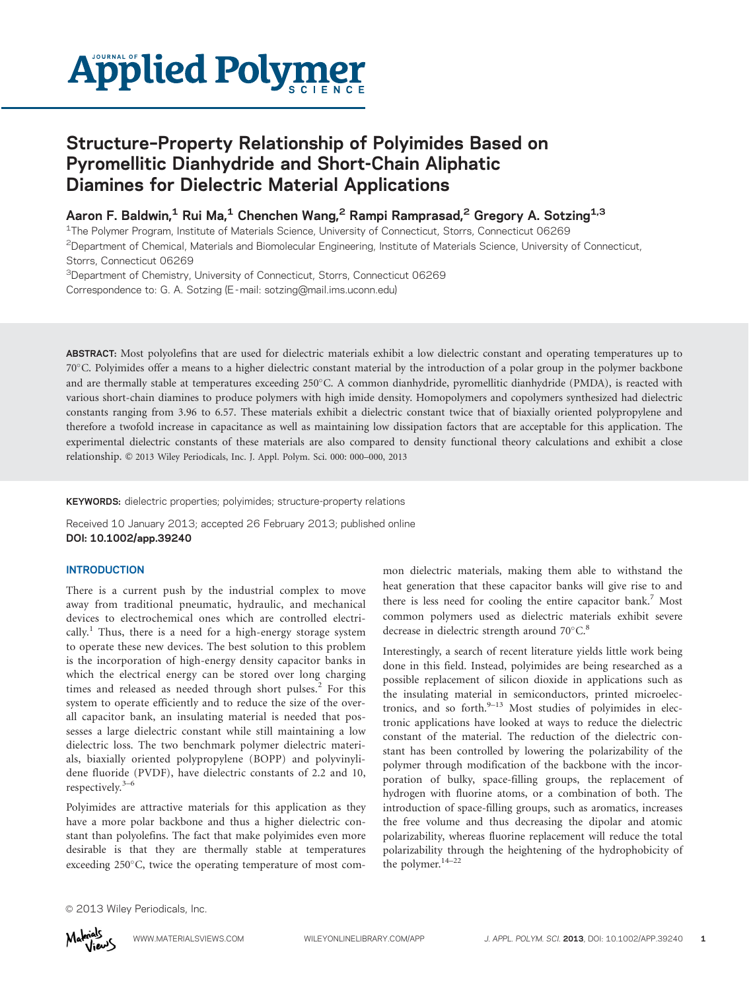

# Structure–Property Relationship of Polyimides Based on Pyromellitic Dianhydride and Short-Chain Aliphatic Diamines for Dielectric Material Applications

Aaron F. Baldwin,<sup>1</sup> Rui Ma,<sup>1</sup> Chenchen Wang,<sup>2</sup> Rampi Ramprasad,<sup>2</sup> Gregory A. Sotzing<sup>1,3</sup>

1The Polymer Program, Institute of Materials Science, University of Connecticut, Storrs, Connecticut 06269 2Department of Chemical, Materials and Biomolecular Engineering, Institute of Materials Science, University of Connecticut, Storrs, Connecticut 06269

<sup>3</sup>Department of Chemistry, University of Connecticut, Storrs, Connecticut 06269 Correspondence to: G. A. Sotzing (E -mail: sotzing@mail.ims.uconn.edu)

ABSTRACT: Most polyolefins that are used for dielectric materials exhibit a low dielectric constant and operating temperatures up to 70C. Polyimides offer a means to a higher dielectric constant material by the introduction of a polar group in the polymer backbone and are thermally stable at temperatures exceeding 250°C. A common dianhydride, pyromellitic dianhydride (PMDA), is reacted with various short-chain diamines to produce polymers with high imide density. Homopolymers and copolymers synthesized had dielectric constants ranging from 3.96 to 6.57. These materials exhibit a dielectric constant twice that of biaxially oriented polypropylene and therefore a twofold increase in capacitance as well as maintaining low dissipation factors that are acceptable for this application. The experimental dielectric constants of these materials are also compared to density functional theory calculations and exhibit a close relationship. © 2013 Wiley Periodicals, Inc. J. Appl. Polym. Sci. 000: 000–000, 2013

KEYWORDS: dielectric properties; polyimides; structure-property relations

Received 10 January 2013; accepted 26 February 2013; published online DOI: 10.1002/app.39240

### **INTRODUCTION**

There is a current push by the industrial complex to move away from traditional pneumatic, hydraulic, and mechanical devices to electrochemical ones which are controlled electrically.<sup>1</sup> Thus, there is a need for a high-energy storage system to operate these new devices. The best solution to this problem is the incorporation of high-energy density capacitor banks in which the electrical energy can be stored over long charging times and released as needed through short pulses. $2$  For this system to operate efficiently and to reduce the size of the overall capacitor bank, an insulating material is needed that possesses a large dielectric constant while still maintaining a low dielectric loss. The two benchmark polymer dielectric materials, biaxially oriented polypropylene (BOPP) and polyvinylidene fluoride (PVDF), have dielectric constants of 2.2 and 10, respectively.3–6

Polyimides are attractive materials for this application as they have a more polar backbone and thus a higher dielectric constant than polyolefins. The fact that make polyimides even more desirable is that they are thermally stable at temperatures exceeding  $250^{\circ}$ C, twice the operating temperature of most common dielectric materials, making them able to withstand the heat generation that these capacitor banks will give rise to and there is less need for cooling the entire capacitor bank.<sup>7</sup> Most common polymers used as dielectric materials exhibit severe decrease in dielectric strength around  $70^{\circ}$ C.<sup>8</sup>

Interestingly, a search of recent literature yields little work being done in this field. Instead, polyimides are being researched as a possible replacement of silicon dioxide in applications such as the insulating material in semiconductors, printed microelectronics, and so forth. $9-13$  Most studies of polyimides in electronic applications have looked at ways to reduce the dielectric constant of the material. The reduction of the dielectric constant has been controlled by lowering the polarizability of the polymer through modification of the backbone with the incorporation of bulky, space-filling groups, the replacement of hydrogen with fluorine atoms, or a combination of both. The introduction of space-filling groups, such as aromatics, increases the free volume and thus decreasing the dipolar and atomic polarizability, whereas fluorine replacement will reduce the total polarizability through the heightening of the hydrophobicity of the polymer.<sup>14-22</sup>

 $©$  2013 Wiley Periodicals, Inc.

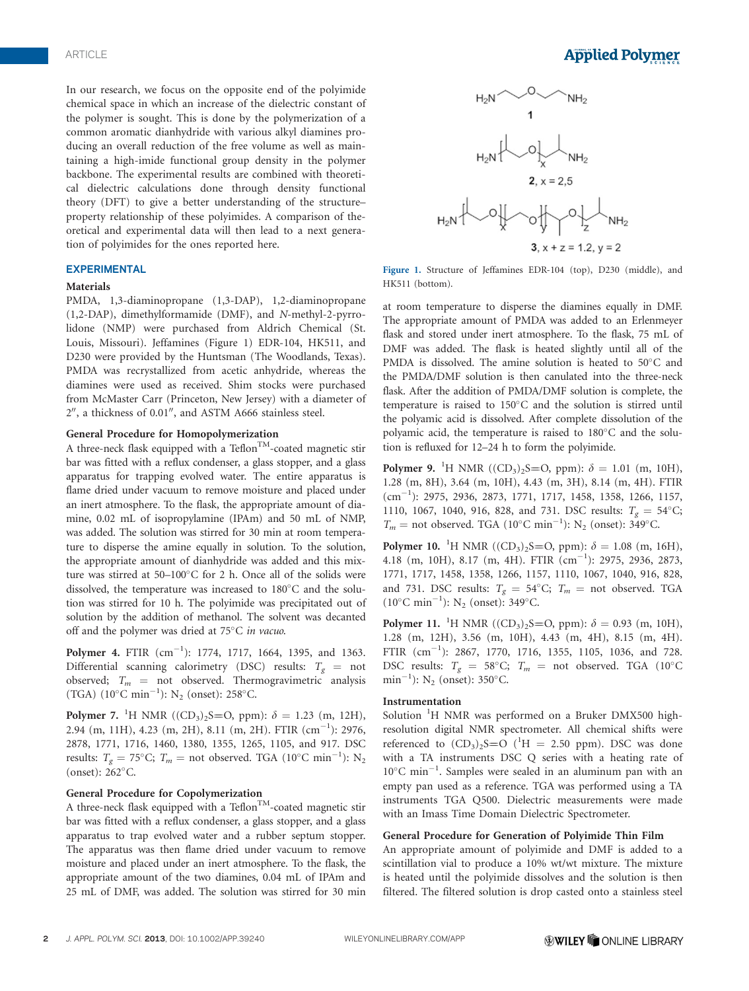In our research, we focus on the opposite end of the polyimide chemical space in which an increase of the dielectric constant of the polymer is sought. This is done by the polymerization of a common aromatic dianhydride with various alkyl diamines producing an overall reduction of the free volume as well as maintaining a high-imide functional group density in the polymer backbone. The experimental results are combined with theoretical dielectric calculations done through density functional theory (DFT) to give a better understanding of the structure– property relationship of these polyimides. A comparison of theoretical and experimental data will then lead to a next generation of polyimides for the ones reported here.

#### EXPERIMENTAL

#### Materials

PMDA, 1,3-diaminopropane (1,3-DAP), 1,2-diaminopropane (1,2-DAP), dimethylformamide (DMF), and N-methyl-2-pyrrolidone (NMP) were purchased from Aldrich Chemical (St. Louis, Missouri). Jeffamines (Figure 1) EDR-104, HK511, and D230 were provided by the Huntsman (The Woodlands, Texas). PMDA was recrystallized from acetic anhydride, whereas the diamines were used as received. Shim stocks were purchased from McMaster Carr (Princeton, New Jersey) with a diameter of  $2''$ , a thickness of 0.01", and ASTM A666 stainless steel.

#### General Procedure for Homopolymerization

A three-neck flask equipped with a Teflon<sup>TM</sup>-coated magnetic stir bar was fitted with a reflux condenser, a glass stopper, and a glass apparatus for trapping evolved water. The entire apparatus is flame dried under vacuum to remove moisture and placed under an inert atmosphere. To the flask, the appropriate amount of diamine, 0.02 mL of isopropylamine (IPAm) and 50 mL of NMP, was added. The solution was stirred for 30 min at room temperature to disperse the amine equally in solution. To the solution, the appropriate amount of dianhydride was added and this mixture was stirred at  $50-100^{\circ}$ C for 2 h. Once all of the solids were dissolved, the temperature was increased to 180°C and the solution was stirred for 10 h. The polyimide was precipitated out of solution by the addition of methanol. The solvent was decanted off and the polymer was dried at  $75^{\circ}$ C in vacuo.

**Polymer 4.** FTIR  $(cm^{-1})$ : 1774, 1717, 1664, 1395, and 1363. Differential scanning calorimetry (DSC) results:  $T_g$  = not observed;  $T_m$  = not observed. Thermogravimetric analysis (TGA)  $(10^{\circ} \text{C min}^{-1})$ : N<sub>2</sub> (onset): 258°C.

**Polymer 7.** <sup>1</sup>H NMR ((CD<sub>3</sub>)<sub>2</sub>S=O, ppm):  $\delta = 1.23$  (m, 12H), 2.94 (m, 11H), 4.23 (m, 2H), 8.11 (m, 2H). FTIR (cm<sup>-1</sup>): 2976, 2878, 1771, 1716, 1460, 1380, 1355, 1265, 1105, and 917. DSC results:  $T_g = 75^{\circ}\text{C}$ ;  $T_m = \text{not observed}$ . TGA (10°C min<sup>-1</sup>): N<sub>2</sub> (onset):  $262^{\circ}$ C.

#### General Procedure for Copolymerization

A three-neck flask equipped with a Teflon<sup>TM</sup>-coated magnetic stir bar was fitted with a reflux condenser, a glass stopper, and a glass apparatus to trap evolved water and a rubber septum stopper. The apparatus was then flame dried under vacuum to remove moisture and placed under an inert atmosphere. To the flask, the appropriate amount of the two diamines, 0.04 mL of IPAm and 25 mL of DMF, was added. The solution was stirred for 30 min



Figure 1. Structure of Jeffamines EDR-104 (top), D230 (middle), and HK511 (bottom).

at room temperature to disperse the diamines equally in DMF. The appropriate amount of PMDA was added to an Erlenmeyer flask and stored under inert atmosphere. To the flask, 75 mL of DMF was added. The flask is heated slightly until all of the PMDA is dissolved. The amine solution is heated to 50°C and the PMDA/DMF solution is then canulated into the three-neck flask. After the addition of PMDA/DMF solution is complete, the temperature is raised to  $150^{\circ}$ C and the solution is stirred until the polyamic acid is dissolved. After complete dissolution of the polyamic acid, the temperature is raised to  $180^{\circ}$ C and the solution is refluxed for 12–24 h to form the polyimide.

**Polymer 9.** <sup>1</sup>H NMR ((CD<sub>3</sub>)<sub>2</sub>S=O, ppm):  $\delta = 1.01$  (m, 10H), 1.28 (m, 8H), 3.64 (m, 10H), 4.43 (m, 3H), 8.14 (m, 4H). FTIR (cm-1 ): 2975, 2936, 2873, 1771, 1717, 1458, 1358, 1266, 1157, 1110, 1067, 1040, 916, 828, and 731. DSC results:  $T_g = 54^{\circ}$ C;  $T_m$  = not observed. TGA (10°C min<sup>-1</sup>): N<sub>2</sub> (onset): 349°C.

**Polymer 10.** <sup>1</sup>H NMR ((CD<sub>3</sub>)<sub>2</sub>S=O, ppm):  $\delta = 1.08$  (m, 16H), 4.18 (m, 10H), 8.17 (m, 4H). FTIR (cm-1 ): 2975, 2936, 2873, 1771, 1717, 1458, 1358, 1266, 1157, 1110, 1067, 1040, 916, 828, and 731. DSC results:  $T_g = 54^{\circ}\text{C}$ ;  $T_m = \text{not observed}$ . TGA (10°C min<sup>-1</sup>): N<sub>2</sub> (onset): 349°C.

**Polymer 11.** <sup>1</sup>H NMR ((CD<sub>3</sub>)<sub>2</sub>S=O, ppm):  $\delta = 0.93$  (m, 10H), 1.28 (m, 12H), 3.56 (m, 10H), 4.43 (m, 4H), 8.15 (m, 4H). FTIR (cm<sup>-1</sup>): 2867, 1770, 1716, 1355, 1105, 1036, and 728. DSC results:  $T_g = 58^{\circ}$ C;  $T_m =$  not observed. TGA (10°C) min<sup>-1</sup>): N<sub>2</sub> (onset): 350°C.

### Instrumentation

Solution<sup>1</sup>H NMR was performed on a Bruker DMX500 highresolution digital NMR spectrometer. All chemical shifts were referenced to  $(CD_3)_2$ S=O (<sup>1</sup>H = 2.50 ppm). DSC was done with a TA instruments DSC Q series with a heating rate of 10°C min<sup>-1</sup>. Samples were sealed in an aluminum pan with an empty pan used as a reference. TGA was performed using a TA instruments TGA Q500. Dielectric measurements were made with an Imass Time Domain Dielectric Spectrometer.

#### General Procedure for Generation of Polyimide Thin Film

An appropriate amount of polyimide and DMF is added to a scintillation vial to produce a 10% wt/wt mixture. The mixture is heated until the polyimide dissolves and the solution is then filtered. The filtered solution is drop casted onto a stainless steel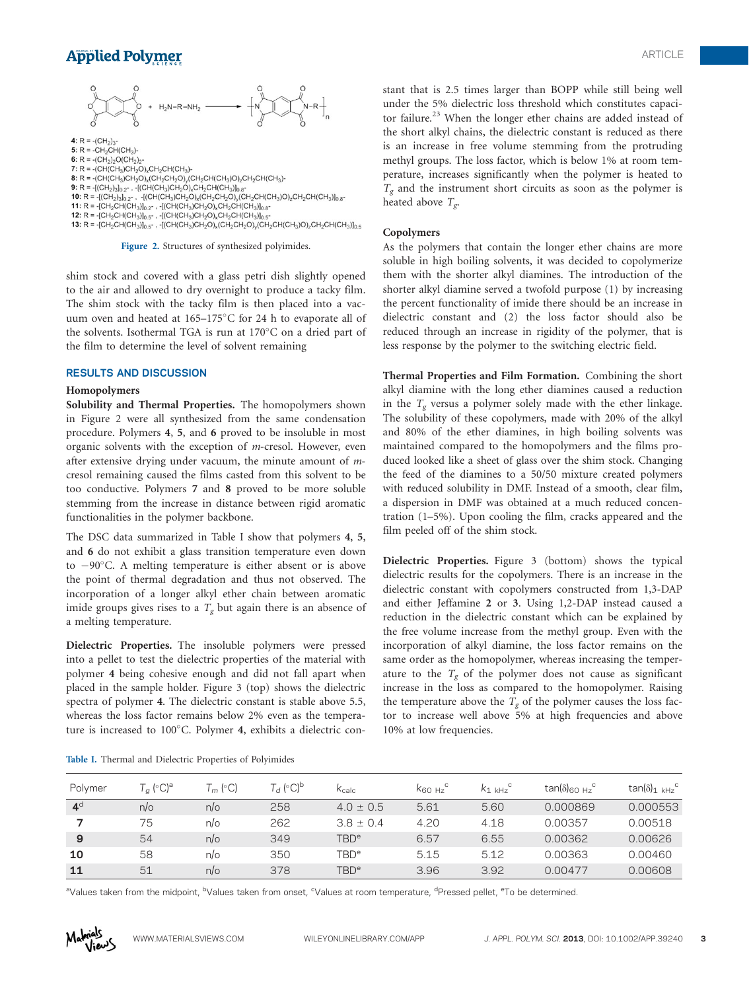## **Applied Polymer**



Figure 2. Structures of synthesized polyimides.

shim stock and covered with a glass petri dish slightly opened to the air and allowed to dry overnight to produce a tacky film. The shim stock with the tacky film is then placed into a vacuum oven and heated at  $165-175^{\circ}$ C for 24 h to evaporate all of the solvents. Isothermal TGA is run at  $170^{\circ}$ C on a dried part of the film to determine the level of solvent remaining

#### RESULTS AND DISCUSSION

#### Homopolymers

Solubility and Thermal Properties. The homopolymers shown in Figure 2 were all synthesized from the same condensation procedure. Polymers 4, 5, and 6 proved to be insoluble in most organic solvents with the exception of m-cresol. However, even after extensive drying under vacuum, the minute amount of mcresol remaining caused the films casted from this solvent to be too conductive. Polymers 7 and 8 proved to be more soluble stemming from the increase in distance between rigid aromatic functionalities in the polymer backbone.

The DSC data summarized in Table I show that polymers 4, 5, and 6 do not exhibit a glass transition temperature even down to  $-90^{\circ}$ C. A melting temperature is either absent or is above the point of thermal degradation and thus not observed. The incorporation of a longer alkyl ether chain between aromatic imide groups gives rises to a  $T_g$  but again there is an absence of a melting temperature.

Dielectric Properties. The insoluble polymers were pressed into a pellet to test the dielectric properties of the material with polymer 4 being cohesive enough and did not fall apart when placed in the sample holder. Figure 3 (top) shows the dielectric spectra of polymer 4. The dielectric constant is stable above 5.5, whereas the loss factor remains below 2% even as the temperature is increased to 100°C. Polymer 4, exhibits a dielectric constant that is 2.5 times larger than BOPP while still being well under the 5% dielectric loss threshold which constitutes capacitor failure.<sup>23</sup> When the longer ether chains are added instead of the short alkyl chains, the dielectric constant is reduced as there is an increase in free volume stemming from the protruding methyl groups. The loss factor, which is below 1% at room temperature, increases significantly when the polymer is heated to  $T_g$  and the instrument short circuits as soon as the polymer is heated above  $T_{g}$ .

#### Copolymers

As the polymers that contain the longer ether chains are more soluble in high boiling solvents, it was decided to copolymerize them with the shorter alkyl diamines. The introduction of the shorter alkyl diamine served a twofold purpose (1) by increasing the percent functionality of imide there should be an increase in dielectric constant and (2) the loss factor should also be reduced through an increase in rigidity of the polymer, that is less response by the polymer to the switching electric field.

Thermal Properties and Film Formation. Combining the short alkyl diamine with the long ether diamines caused a reduction in the  $T_g$  versus a polymer solely made with the ether linkage. The solubility of these copolymers, made with 20% of the alkyl and 80% of the ether diamines, in high boiling solvents was maintained compared to the homopolymers and the films produced looked like a sheet of glass over the shim stock. Changing the feed of the diamines to a 50/50 mixture created polymers with reduced solubility in DMF. Instead of a smooth, clear film, a dispersion in DMF was obtained at a much reduced concentration (1–5%). Upon cooling the film, cracks appeared and the film peeled off of the shim stock.

Dielectric Properties. Figure 3 (bottom) shows the typical dielectric results for the copolymers. There is an increase in the dielectric constant with copolymers constructed from 1,3-DAP and either Jeffamine 2 or 3. Using 1,2-DAP instead caused a reduction in the dielectric constant which can be explained by the free volume increase from the methyl group. Even with the incorporation of alkyl diamine, the loss factor remains on the same order as the homopolymer, whereas increasing the temperature to the  $T_g$  of the polymer does not cause as significant increase in the loss as compared to the homopolymer. Raising the temperature above the  $T_g$  of the polymer causes the loss factor to increase well above 5% at high frequencies and above 10% at low frequencies.

|  |  |  |  |  | Table I. Thermal and Dielectric Properties of Polyimides |
|--|--|--|--|--|----------------------------------------------------------|
|--|--|--|--|--|----------------------------------------------------------|

| Polymer        | $T_q$ (°C) <sup>a</sup> | $T_m$ (°C) | $T_d$ (°C) <sup>b</sup> | $K_{\text{calc}}$      | $K_{60Hz}$ | $K_1$ kHz <sup>o</sup> | $tan(\delta)_{60 Hz}^{\circ}$ | $tan(\delta)_{1 \text{ kHz}}^{\text{c}}$ |
|----------------|-------------------------|------------|-------------------------|------------------------|------------|------------------------|-------------------------------|------------------------------------------|
| 4 <sup>d</sup> | $n$ o                   | $n$ o      | 258                     | $4.0 \pm 0.5$          | 5.61       | 5.60                   | 0.000869                      | 0.000553                                 |
|                | 75                      | $n$ o      | 262                     | $38 + 04$              | 4.20       | 4.18                   | 0.00357                       | 0.00518                                  |
| 9              | 54                      | $n$ o      | 349                     | TBD <sup>e</sup>       | 6.57       | 6.55                   | 0.00362                       | 0.00626                                  |
| 10             | 58                      | $n$ o      | 350                     | TBD <sup>e</sup>       | 5.15       | 5.12                   | 0.00363                       | 0.00460                                  |
| 11             | 51                      | $n$ o      | 378                     | <b>TBD<sup>e</sup></b> | 3.96       | 3.92                   | 0.00477                       | 0.00608                                  |

<sup>a</sup>Values taken from the midpoint, <sup>b</sup>Values taken from onset, <sup>c</sup>Values at room temperature, <sup>d</sup>Pressed pellet, <sup>e</sup>To be determined.

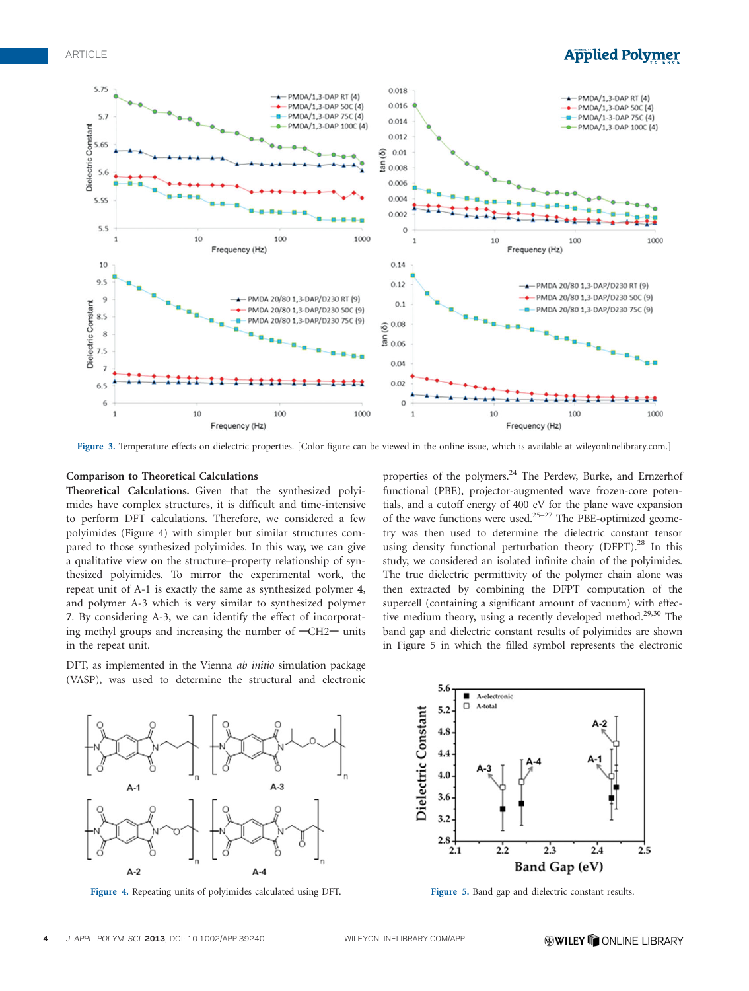## **Applied Polymer**



Figure 3. Temperature effects on dielectric properties. [Color figure can be viewed in the online issue, which is available at wileyonlinelibrary.com.]

### Comparison to Theoretical Calculations

Theoretical Calculations. Given that the synthesized polyimides have complex structures, it is difficult and time-intensive to perform DFT calculations. Therefore, we considered a few polyimides (Figure 4) with simpler but similar structures compared to those synthesized polyimides. In this way, we can give a qualitative view on the structure–property relationship of synthesized polyimides. To mirror the experimental work, the repeat unit of A-1 is exactly the same as synthesized polymer 4, and polymer A-3 which is very similar to synthesized polymer 7. By considering A-3, we can identify the effect of incorporating methyl groups and increasing the number of  $-CH2$  units in the repeat unit.

DFT, as implemented in the Vienna *ab initio* simulation package (VASP), was used to determine the structural and electronic

properties of the polymers.<sup>24</sup> The Perdew, Burke, and Ernzerhof functional (PBE), projector-augmented wave frozen-core potentials, and a cutoff energy of 400 eV for the plane wave expansion of the wave functions were used.<sup>25-27</sup> The PBE-optimized geometry was then used to determine the dielectric constant tensor using density functional perturbation theory (DFPT).<sup>28</sup> In this study, we considered an isolated infinite chain of the polyimides. The true dielectric permittivity of the polymer chain alone was then extracted by combining the DFPT computation of the supercell (containing a significant amount of vacuum) with effective medium theory, using a recently developed method.<sup>29,30</sup> The band gap and dielectric constant results of polyimides are shown in Figure 5 in which the filled symbol represents the electronic



Figure 4. Repeating units of polyimides calculated using DFT. Figure 5. Band gap and dielectric constant results.